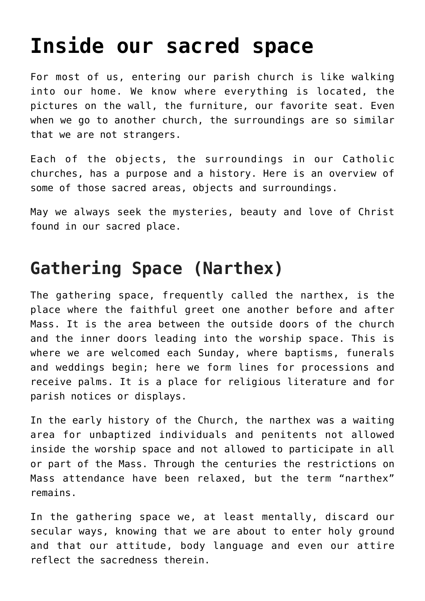# **[Inside our sacred space](https://www.osvnews.com/2017/01/08/inside-our-sacred-space/)**

For most of us, entering our parish church is like walking into our home. We know where everything is located, the pictures on the wall, the furniture, our favorite seat. Even when we go to another church, the surroundings are so similar that we are not strangers.

Each of the objects, the surroundings in our Catholic churches, has a purpose and a history. Here is an overview of some of those sacred areas, objects and surroundings.

May we always seek the mysteries, beauty and love of Christ found in our sacred place.

#### **Gathering Space (Narthex)**

The gathering space, frequently called the narthex, is the place where the faithful greet one another before and after Mass. It is the area between the outside doors of the church and the inner doors leading into the worship space. This is where we are welcomed each Sunday, where baptisms, funerals and weddings begin; here we form lines for processions and receive palms. It is a place for religious literature and for parish notices or displays.

In the early history of the Church, the narthex was a waiting area for unbaptized individuals and penitents not allowed inside the worship space and not allowed to participate in all or part of the Mass. Through the centuries the restrictions on Mass attendance have been relaxed, but the term "narthex" remains.

In the gathering space we, at least mentally, discard our secular ways, knowing that we are about to enter holy ground and that our attitude, body language and even our attire reflect the sacredness therein.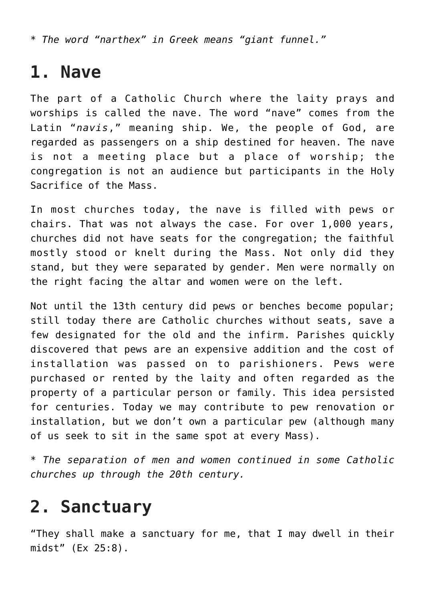*\* The word "narthex" in Greek means "giant funnel."*

#### **1. Nave**

The part of a Catholic Church where the laity prays and worships is called the nave. The word "nave" comes from the Latin "*navis*," meaning ship. We, the people of God, are regarded as passengers on a ship destined for heaven. The nave is not a meeting place but a place of worship; the congregation is not an audience but participants in the Holy Sacrifice of the Mass.

In most churches today, the nave is filled with pews or chairs. That was not always the case. For over 1,000 years, churches did not have seats for the congregation; the faithful mostly stood or knelt during the Mass. Not only did they stand, but they were separated by gender. Men were normally on the right facing the altar and women were on the left.

Not until the 13th century did pews or benches become popular; still today there are Catholic churches without seats, save a few designated for the old and the infirm. Parishes quickly discovered that pews are an expensive addition and the cost of installation was passed on to parishioners. Pews were purchased or rented by the laity and often regarded as the property of a particular person or family. This idea persisted for centuries. Today we may contribute to pew renovation or installation, but we don't own a particular pew (although many of us seek to sit in the same spot at every Mass).

*\* The separation of men and women continued in some Catholic churches up through the 20th century.*

#### **2. Sanctuary**

"They shall make a sanctuary for me, that I may dwell in their midst" (Ex 25:8).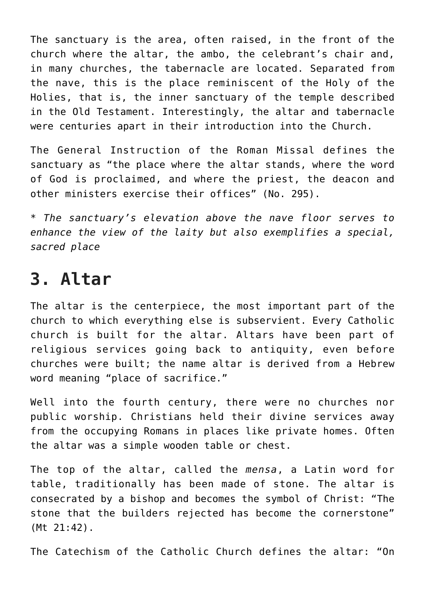The sanctuary is the area, often raised, in the front of the church where the altar, the ambo, the celebrant's chair and, in many churches, the tabernacle are located. Separated from the nave, this is the place reminiscent of the Holy of the Holies, that is, the inner sanctuary of the temple described in the Old Testament. Interestingly, the altar and tabernacle were centuries apart in their introduction into the Church.

The General Instruction of the Roman Missal defines the sanctuary as "the place where the altar stands, where the word of God is proclaimed, and where the priest, the deacon and other ministers exercise their offices" (No. 295).

*\* The sanctuary's elevation above the nave floor serves to enhance the view of the laity but also exemplifies a special, sacred place*

#### **3. Altar**

The altar is the centerpiece, the most important part of the church to which everything else is subservient. Every Catholic church is built for the altar. Altars have been part of religious services going back to antiquity, even before churches were built; the name altar is derived from a Hebrew word meaning "place of sacrifice."

Well into the fourth century, there were no churches nor public worship. Christians held their divine services away from the occupying Romans in places like private homes. Often the altar was a simple wooden table or chest.

The top of the altar, called the *mensa*, a Latin word for table, traditionally has been made of stone. The altar is consecrated by a bishop and becomes the symbol of Christ: "The stone that the builders rejected has become the cornerstone" (Mt 21:42).

The Catechism of the Catholic Church defines the altar: "On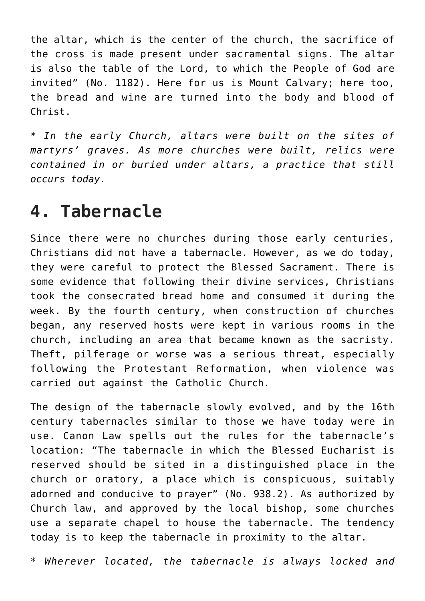the altar, which is the center of the church, the sacrifice of the cross is made present under sacramental signs. The altar is also the table of the Lord, to which the People of God are invited" (No. 1182). Here for us is Mount Calvary; here too, the bread and wine are turned into the body and blood of Christ.

*\* In the early Church, altars were built on the sites of martyrs' graves. As more churches were built, relics were contained in or buried under altars, a practice that still occurs today.*

#### **4. Tabernacle**

Since there were no churches during those early centuries, Christians did not have a tabernacle. However, as we do today, they were careful to protect the Blessed Sacrament. There is some evidence that following their divine services, Christians took the consecrated bread home and consumed it during the week. By the fourth century, when construction of churches began, any reserved hosts were kept in various rooms in the church, including an area that became known as the sacristy. Theft, pilferage or worse was a serious threat, especially following the Protestant Reformation, when violence was carried out against the Catholic Church.

The design of the tabernacle slowly evolved, and by the 16th century tabernacles similar to those we have today were in use. Canon Law spells out the rules for the tabernacle's location: "The tabernacle in which the Blessed Eucharist is reserved should be sited in a distinguished place in the church or oratory, a place which is conspicuous, suitably adorned and conducive to prayer" (No. 938.2). As authorized by Church law, and approved by the local bishop, some churches use a separate chapel to house the tabernacle. The tendency today is to keep the tabernacle in proximity to the altar.

*\* Wherever located, the tabernacle is always locked and*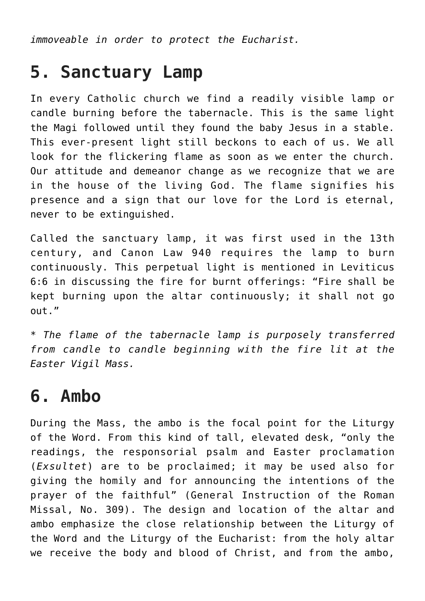*immoveable in order to protect the Eucharist.*

#### **5. Sanctuary Lamp**

In every Catholic church we find a readily visible lamp or candle burning before the tabernacle. This is the same light the Magi followed until they found the baby Jesus in a stable. This ever-present light still beckons to each of us. We all look for the flickering flame as soon as we enter the church. Our attitude and demeanor change as we recognize that we are in the house of the living God. The flame signifies his presence and a sign that our love for the Lord is eternal, never to be extinguished.

Called the sanctuary lamp, it was first used in the 13th century, and Canon Law 940 requires the lamp to burn continuously. This perpetual light is mentioned in Leviticus 6:6 in discussing the fire for burnt offerings: "Fire shall be kept burning upon the altar continuously; it shall not go out."

*\* The flame of the tabernacle lamp is purposely transferred from candle to candle beginning with the fire lit at the Easter Vigil Mass.*

#### **6. Ambo**

During the Mass, the ambo is the focal point for the Liturgy of the Word. From this kind of tall, elevated desk, "only the readings, the responsorial psalm and Easter proclamation (*Exsultet*) are to be proclaimed; it may be used also for giving the homily and for announcing the intentions of the prayer of the faithful" (General Instruction of the Roman Missal, No. 309). The design and location of the altar and ambo emphasize the close relationship between the Liturgy of the Word and the Liturgy of the Eucharist: from the holy altar we receive the body and blood of Christ, and from the ambo,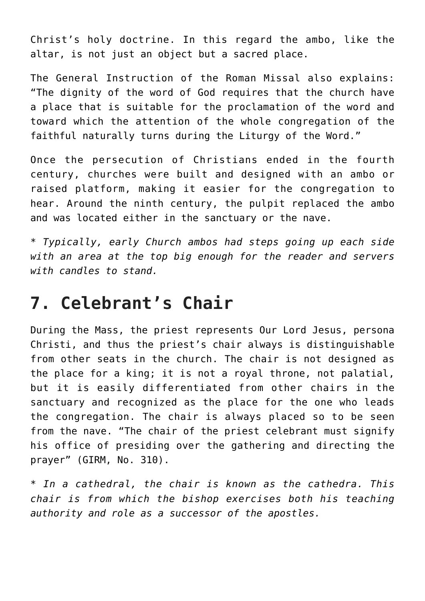Christ's holy doctrine. In this regard the ambo, like the altar, is not just an object but a sacred place.

The General Instruction of the Roman Missal also explains: "The dignity of the word of God requires that the church have a place that is suitable for the proclamation of the word and toward which the attention of the whole congregation of the faithful naturally turns during the Liturgy of the Word."

Once the persecution of Christians ended in the fourth century, churches were built and designed with an ambo or raised platform, making it easier for the congregation to hear. Around the ninth century, the pulpit replaced the ambo and was located either in the sanctuary or the nave.

*\* Typically, early Church ambos had steps going up each side with an area at the top big enough for the reader and servers with candles to stand.*

#### **7. Celebrant's Chair**

During the Mass, the priest represents Our Lord Jesus, persona Christi, and thus the priest's chair always is distinguishable from other seats in the church. The chair is not designed as the place for a king; it is not a royal throne, not palatial, but it is easily differentiated from other chairs in the sanctuary and recognized as the place for the one who leads the congregation. The chair is always placed so to be seen from the nave. "The chair of the priest celebrant must signify his office of presiding over the gathering and directing the prayer" (GIRM, No. 310).

*\* In a cathedral, the chair is known as the cathedra. This chair is from which the bishop exercises both his teaching authority and role as a successor of the apostles.*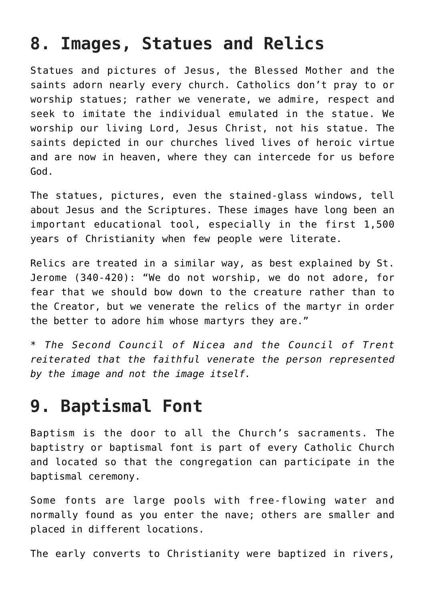#### **8. Images, Statues and Relics**

Statues and pictures of Jesus, the Blessed Mother and the saints adorn nearly every church. Catholics don't pray to or worship statues; rather we venerate, we admire, respect and seek to imitate the individual emulated in the statue. We worship our living Lord, Jesus Christ, not his statue. The saints depicted in our churches lived lives of heroic virtue and are now in heaven, where they can intercede for us before God.

The statues, pictures, even the stained-glass windows, tell about Jesus and the Scriptures. These images have long been an important educational tool, especially in the first 1,500 years of Christianity when few people were literate.

Relics are treated in a similar way, as best explained by St. Jerome (340-420): "We do not worship, we do not adore, for fear that we should bow down to the creature rather than to the Creator, but we venerate the relics of the martyr in order the better to adore him whose martyrs they are."

*\* The Second Council of Nicea and the Council of Trent reiterated that the faithful venerate the person represented by the image and not the image itself.*

#### **9. Baptismal Font**

Baptism is the door to all the Church's sacraments. The baptistry or baptismal font is part of every Catholic Church and located so that the congregation can participate in the baptismal ceremony.

Some fonts are large pools with free-flowing water and normally found as you enter the nave; others are smaller and placed in different locations.

The early converts to Christianity were baptized in rivers,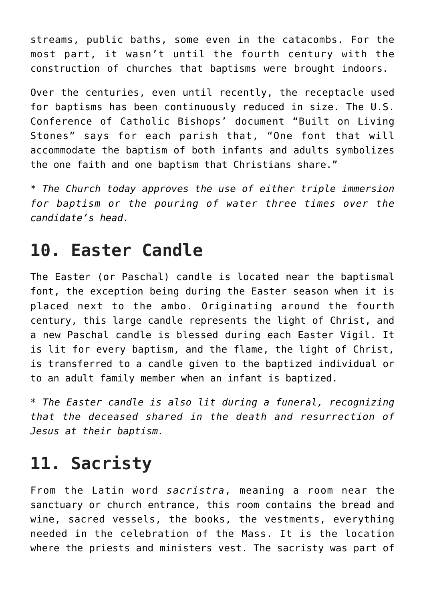streams, public baths, some even in the catacombs. For the most part, it wasn't until the fourth century with the construction of churches that baptisms were brought indoors.

Over the centuries, even until recently, the receptacle used for baptisms has been continuously reduced in size. The U.S. Conference of Catholic Bishops' document "Built on Living Stones" says for each parish that, "One font that will accommodate the baptism of both infants and adults symbolizes the one faith and one baptism that Christians share."

*\* The Church today approves the use of either triple immersion for baptism or the pouring of water three times over the candidate's head.*

# **10. Easter Candle**

The Easter (or Paschal) candle is located near the baptismal font, the exception being during the Easter season when it is placed next to the ambo. Originating around the fourth century, this large candle represents the light of Christ, and a new Paschal candle is blessed during each Easter Vigil. It is lit for every baptism, and the flame, the light of Christ, is transferred to a candle given to the baptized individual or to an adult family member when an infant is baptized.

*\* The Easter candle is also lit during a funeral, recognizing that the deceased shared in the death and resurrection of Jesus at their baptism.*

# **11. Sacristy**

From the Latin word *sacristra*, meaning a room near the sanctuary or church entrance, this room contains the bread and wine, sacred vessels, the books, the vestments, everything needed in the celebration of the Mass. It is the location where the priests and ministers vest. The sacristy was part of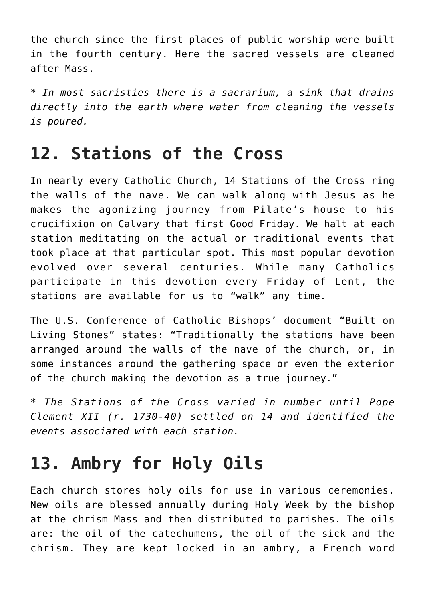the church since the first places of public worship were built in the fourth century. Here the sacred vessels are cleaned after Mass.

*\* In most sacristies there is a sacrarium, a sink that drains directly into the earth where water from cleaning the vessels is poured.*

#### **12. Stations of the Cross**

In nearly every Catholic Church, 14 Stations of the Cross ring the walls of the nave. We can walk along with Jesus as he makes the agonizing journey from Pilate's house to his crucifixion on Calvary that first Good Friday. We halt at each station meditating on the actual or traditional events that took place at that particular spot. This most popular devotion evolved over several centuries. While many Catholics participate in this devotion every Friday of Lent, the stations are available for us to "walk" any time.

The U.S. Conference of Catholic Bishops' document "Built on Living Stones" states: "Traditionally the stations have been arranged around the walls of the nave of the church, or, in some instances around the gathering space or even the exterior of the church making the devotion as a true journey."

*\* The Stations of the Cross varied in number until Pope Clement XII (r. 1730-40) settled on 14 and identified the events associated with each station.*

### **13. Ambry for Holy Oils**

Each church stores holy oils for use in various ceremonies. New oils are blessed annually during Holy Week by the bishop at the chrism Mass and then distributed to parishes. The oils are: the oil of the catechumens, the oil of the sick and the chrism. They are kept locked in an ambry, a French word